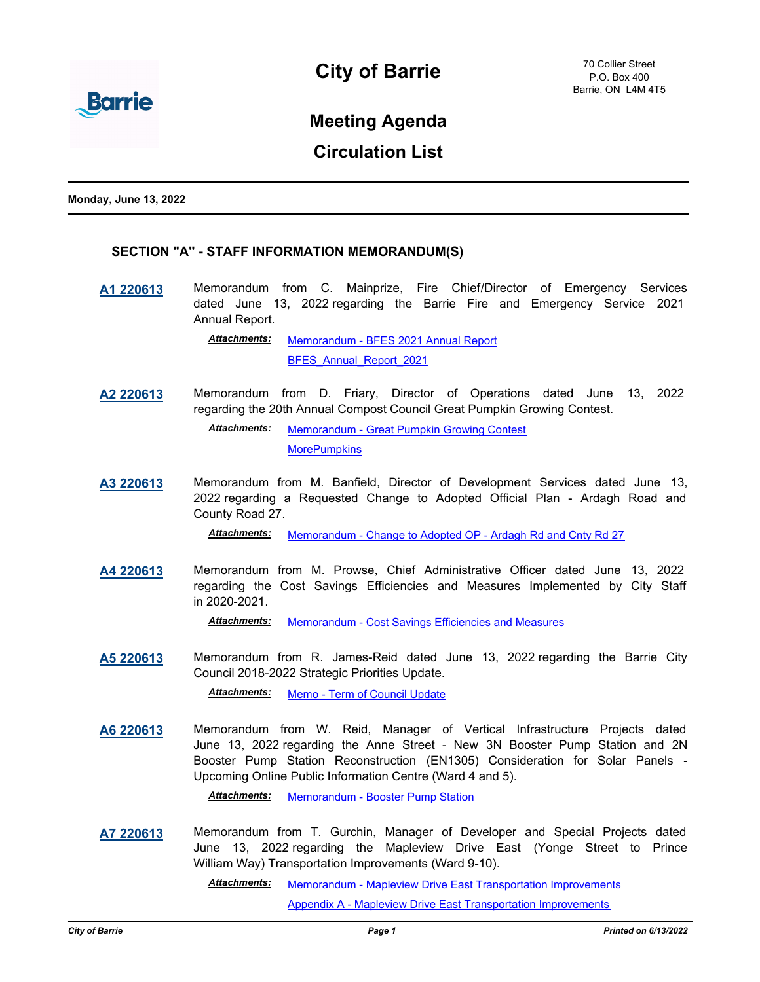

# **Meeting Agenda**

## **Circulation List**

**Monday, June 13, 2022**

### **SECTION "A" - STAFF INFORMATION MEMORANDUM(S)**

**[A1 220613](http://barrie.ca.legistar.com/gateway.aspx?m=l&id=/matter.aspx?key=50844)** Memorandum from C. Mainprize, Fire Chief/Director of Emergency Services dated June 13, 2022 regarding the Barrie Fire and Emergency Service 2021 Annual Report.

> [Memorandum - BFES 2021 Annual Report](http://barrie.ca.legistar.com/gateway.aspx?M=F&ID=e25c2a6b-7dd1-4930-85b6-146eca4cfc20.pdf) BFES Annual Report 2021 *Attachments:*

**[A2 220613](http://barrie.ca.legistar.com/gateway.aspx?m=l&id=/matter.aspx?key=50768)** Memorandum from D. Friary, Director of Operations dated June 13, 2022 regarding the 20th Annual Compost Council Great Pumpkin Growing Contest.

> [Memorandum - Great Pumpkin Growing Contest](http://barrie.ca.legistar.com/gateway.aspx?M=F&ID=1ee31351-cff6-4ba5-a676-0f54942b379f.pdf) **[MorePumpkins](http://barrie.ca.legistar.com/gateway.aspx?M=F&ID=58fd5305-8b4a-45d9-b8c8-ff8ece3c989b.jpg)** *Attachments:*

**[A3 220613](http://barrie.ca.legistar.com/gateway.aspx?m=l&id=/matter.aspx?key=50830)** Memorandum from M. Banfield, Director of Development Services dated June 13, 2022 regarding a Requested Change to Adopted Official Plan - Ardagh Road and County Road 27.

*Attachments:* [Memorandum - Change to Adopted OP - Ardagh Rd and Cnty Rd 27](http://barrie.ca.legistar.com/gateway.aspx?M=F&ID=1a3d0809-d861-460f-8bb8-5e6684de84ce.pdf)

**[A4 220613](http://barrie.ca.legistar.com/gateway.aspx?m=l&id=/matter.aspx?key=50848)** Memorandum from M. Prowse, Chief Administrative Officer dated June 13, 2022 regarding the Cost Savings Efficiencies and Measures Implemented by City Staff in 2020-2021.

*Attachments:* [Memorandum - Cost Savings Efficiencies and Measures](http://barrie.ca.legistar.com/gateway.aspx?M=F&ID=502609ae-b109-4ae8-9da5-8e35a315039e.pdf)

**[A5 220613](http://barrie.ca.legistar.com/gateway.aspx?m=l&id=/matter.aspx?key=50850)** Memorandum from R. James-Reid dated June 13, 2022 regarding the Barrie City Council 2018-2022 Strategic Priorities Update.

*Attachments:* [Memo - Term of Council Update](http://barrie.ca.legistar.com/gateway.aspx?M=F&ID=b1fb42aa-9357-4818-b995-178535509b1d.pdf)

**[A6 220613](http://barrie.ca.legistar.com/gateway.aspx?m=l&id=/matter.aspx?key=50837)** Memorandum from W. Reid, Manager of Vertical Infrastructure Projects dated June 13, 2022 regarding the Anne Street - New 3N Booster Pump Station and 2N Booster Pump Station Reconstruction (EN1305) Consideration for Solar Panels - Upcoming Online Public Information Centre (Ward 4 and 5).

*Attachments:* [Memorandum - Booster Pump Station](http://barrie.ca.legistar.com/gateway.aspx?M=F&ID=614aaa85-6f77-4d28-a8fc-a7037184a379.pdf)

**[A7 220613](http://barrie.ca.legistar.com/gateway.aspx?m=l&id=/matter.aspx?key=50847)** Memorandum from T. Gurchin, Manager of Developer and Special Projects dated June 13, 2022 regarding the Mapleview Drive East (Yonge Street to Prince William Way) Transportation Improvements (Ward 9-10).

> [Memorandum - Mapleview Drive East Transportation Improvements](http://barrie.ca.legistar.com/gateway.aspx?M=F&ID=27487a2e-3382-4d42-afff-f886a1dd0ca3.pdf) *Attachments:*

> > [Appendix A - Mapleview Drive East Transportation Improvements](http://barrie.ca.legistar.com/gateway.aspx?M=F&ID=ba1d7af6-14be-4432-8e48-056548c87d72.pdf)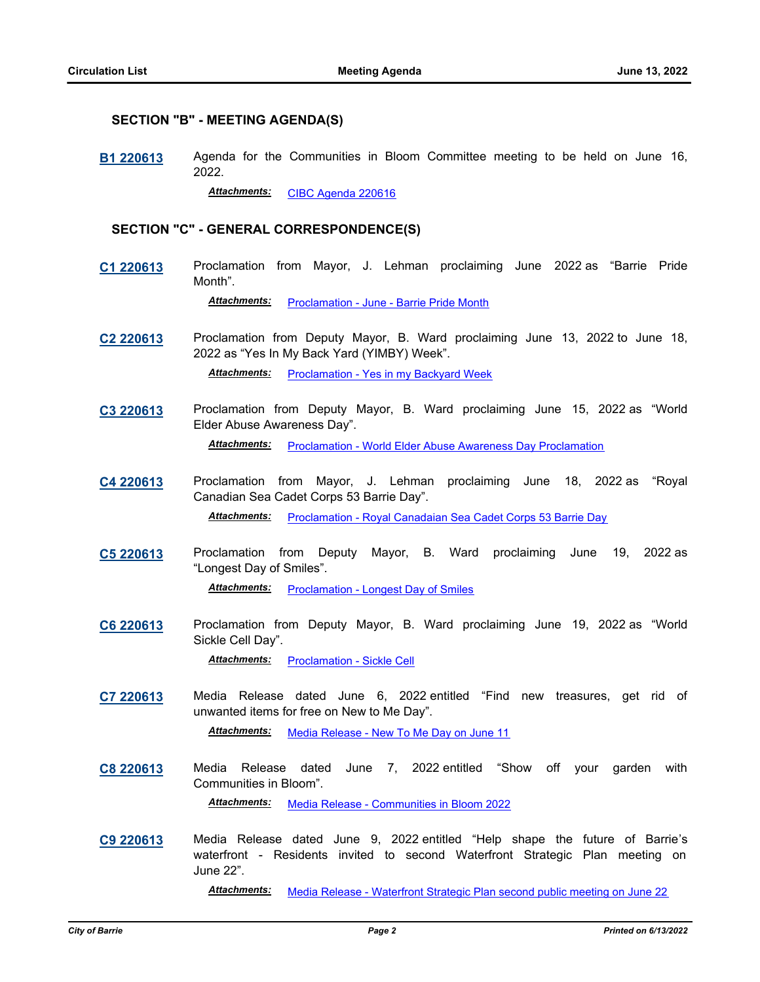#### **SECTION "B" - MEETING AGENDA(S)**

**[B1 220613](http://barrie.ca.legistar.com/gateway.aspx?m=l&id=/matter.aspx?key=50879)** Agenda for the Communities in Bloom Committee meeting to be held on June 16, 2022.

*Attachments:* [CIBC Agenda 220616](http://barrie.ca.legistar.com/gateway.aspx?M=F&ID=9bf868b7-493f-41fa-8692-b3ddbf3db978.pdf)

#### **SECTION "C" - GENERAL CORRESPONDENCE(S)**

**[C1 220613](http://barrie.ca.legistar.com/gateway.aspx?m=l&id=/matter.aspx?key=50854)** Proclamation from Mayor, J. Lehman proclaiming June 2022 as "Barrie Pride Month".

Attachments: [Proclamation - June - Barrie Pride Month](http://barrie.ca.legistar.com/gateway.aspx?M=F&ID=93725279-811f-45a1-9a19-7286379cfd48.pdf)

- **[C2 220613](http://barrie.ca.legistar.com/gateway.aspx?m=l&id=/matter.aspx?key=50852)** Proclamation from Deputy Mayor, B. Ward proclaiming June 13, 2022 to June 18, 2022 as "Yes In My Back Yard (YIMBY) Week". Attachments: [Proclamation - Yes in my Backyard Week](http://barrie.ca.legistar.com/gateway.aspx?M=F&ID=398035de-6ab9-425b-816d-32d549e1ab58.pdf)
- **[C3 220613](http://barrie.ca.legistar.com/gateway.aspx?m=l&id=/matter.aspx?key=50851)** Proclamation from Deputy Mayor, B. Ward proclaiming June 15, 2022 as "World Elder Abuse Awareness Day". Attachments: [Proclamation - World Elder Abuse Awareness Day Proclamation](http://barrie.ca.legistar.com/gateway.aspx?M=F&ID=cada04ac-c4d8-4cd6-b756-c1caf4d9b096.pdf)
- **[C4 220613](http://barrie.ca.legistar.com/gateway.aspx?m=l&id=/matter.aspx?key=50853)** Proclamation from Mayor, J. Lehman proclaiming June 18, 2022 as "Royal Canadian Sea Cadet Corps 53 Barrie Day".

*Attachments:* [Proclamation - Royal Canadaian Sea Cadet Corps 53 Barrie Day](http://barrie.ca.legistar.com/gateway.aspx?M=F&ID=ce91495e-fb80-4659-a1dd-c6dfa6e334dc.pdf)

- **[C5 220613](http://barrie.ca.legistar.com/gateway.aspx?m=l&id=/matter.aspx?key=50672)** Proclamation from Deputy Mayor, B. Ward proclaiming June 19, 2022 as "Longest Day of Smiles". Attachments: [Proclamation - Longest Day of Smiles](http://barrie.ca.legistar.com/gateway.aspx?M=F&ID=475128d1-4c44-4bfe-9cf5-e1c7a92e54ac.pdf)
- **[C6 220613](http://barrie.ca.legistar.com/gateway.aspx?m=l&id=/matter.aspx?key=50849)** Proclamation from Deputy Mayor, B. Ward proclaiming June 19, 2022 as "World Sickle Cell Day".

*Attachments:* [Proclamation - Sickle Cell](http://barrie.ca.legistar.com/gateway.aspx?M=F&ID=4f5d2dc2-e2be-4347-9169-785d05e10d51.pdf)

**[C7 220613](http://barrie.ca.legistar.com/gateway.aspx?m=l&id=/matter.aspx?key=50855)** Media Release dated June 6, 2022 entitled "Find new treasures, get rid of unwanted items for free on New to Me Day".

*Attachments:* [Media Release - New To Me Day on June 11](http://barrie.ca.legistar.com/gateway.aspx?M=F&ID=75b485b2-1849-4d05-a562-6f7f5e580c03.pdf)

**[C8 220613](http://barrie.ca.legistar.com/gateway.aspx?m=l&id=/matter.aspx?key=50856)** Media Release dated June 7, 2022 entitled "Show off your garden with Communities in Bloom".

*Attachments:* [Media Release - Communities in Bloom 2022](http://barrie.ca.legistar.com/gateway.aspx?M=F&ID=e9cf9d4e-1590-43d4-a4ef-b423b891413d.pdf)

**[C9 220613](http://barrie.ca.legistar.com/gateway.aspx?m=l&id=/matter.aspx?key=50881)** Media Release dated June 9, 2022 entitled "Help shape the future of Barrie's waterfront - Residents invited to second Waterfront Strategic Plan meeting on June 22".

*Attachments:* [Media Release - Waterfront Strategic Plan second public meeting on June 22](http://barrie.ca.legistar.com/gateway.aspx?M=F&ID=dfc3ab38-4e88-454b-bb37-b52ef6951c06.pdf)